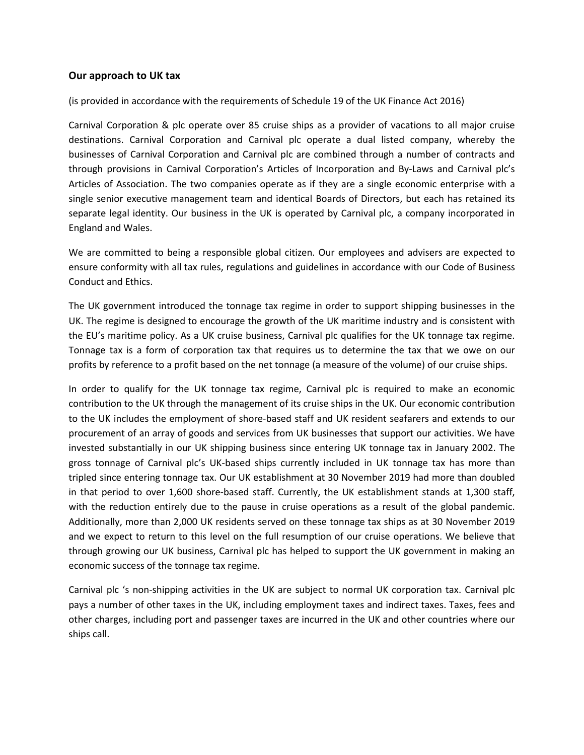## **Our approach to UK tax**

(is provided in accordance with the requirements of Schedule 19 of the UK Finance Act 2016)

Carnival Corporation & plc operate over 85 cruise ships as a provider of vacations to all major cruise destinations. Carnival Corporation and Carnival plc operate a dual listed company, whereby the businesses of Carnival Corporation and Carnival plc are combined through a number of contracts and through provisions in Carnival Corporation's Articles of Incorporation and By-Laws and Carnival plc's Articles of Association. The two companies operate as if they are a single economic enterprise with a single senior executive management team and identical Boards of Directors, but each has retained its separate legal identity. Our business in the UK is operated by Carnival plc, a company incorporated in England and Wales.

We are committed to being a responsible global citizen. Our employees and advisers are expected to ensure conformity with all tax rules, regulations and guidelines in accordance with our Code of Business Conduct and Ethics.

The UK government introduced the tonnage tax regime in order to support shipping businesses in the UK. The regime is designed to encourage the growth of the UK maritime industry and is consistent with the EU's maritime policy. As a UK cruise business, Carnival plc qualifies for the UK tonnage tax regime. Tonnage tax is a form of corporation tax that requires us to determine the tax that we owe on our profits by reference to a profit based on the net tonnage (a measure of the volume) of our cruise ships.

In order to qualify for the UK tonnage tax regime, Carnival plc is required to make an economic contribution to the UK through the management of its cruise ships in the UK. Our economic contribution to the UK includes the employment of shore-based staff and UK resident seafarers and extends to our procurement of an array of goods and services from UK businesses that support our activities. We have invested substantially in our UK shipping business since entering UK tonnage tax in January 2002. The gross tonnage of Carnival plc's UK-based ships currently included in UK tonnage tax has more than tripled since entering tonnage tax. Our UK establishment at 30 November 2019 had more than doubled in that period to over 1,600 shore-based staff. Currently, the UK establishment stands at 1,300 staff, with the reduction entirely due to the pause in cruise operations as a result of the global pandemic. Additionally, more than 2,000 UK residents served on these tonnage tax ships as at 30 November 2019 and we expect to return to this level on the full resumption of our cruise operations. We believe that through growing our UK business, Carnival plc has helped to support the UK government in making an economic success of the tonnage tax regime.

Carnival plc 's non-shipping activities in the UK are subject to normal UK corporation tax. Carnival plc pays a number of other taxes in the UK, including employment taxes and indirect taxes. Taxes, fees and other charges, including port and passenger taxes are incurred in the UK and other countries where our ships call.